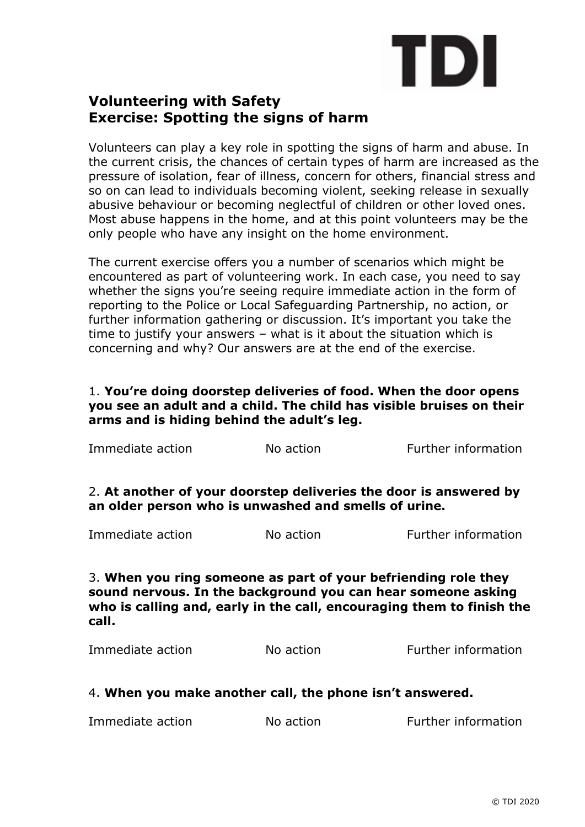

# **Volunteering with Safety Exercise: Spotting the signs of harm**

Volunteers can play a key role in spotting the signs of harm and abuse. In the current crisis, the chances of certain types of harm are increased as the pressure of isolation, fear of illness, concern for others, financial stress and so on can lead to individuals becoming violent, seeking release in sexually abusive behaviour or becoming neglectful of children or other loved ones. Most abuse happens in the home, and at this point volunteers may be the only people who have any insight on the home environment.

The current exercise offers you a number of scenarios which might be encountered as part of volunteering work. In each case, you need to say whether the signs you're seeing require immediate action in the form of reporting to the Police or Local Safeguarding Partnership, no action, or further information gathering or discussion. It's important you take the time to justify your answers – what is it about the situation which is concerning and why? Our answers are at the end of the exercise.

# 1. **You're doing doorstep deliveries of food. When the door opens you see an adult and a child. The child has visible bruises on their arms and is hiding behind the adult's leg.**

| Immediate action                                                                                                                                                                                                 | No action | Further information |  |  |  |
|------------------------------------------------------------------------------------------------------------------------------------------------------------------------------------------------------------------|-----------|---------------------|--|--|--|
| 2. At another of your doorstep deliveries the door is answered by<br>an older person who is unwashed and smells of urine.                                                                                        |           |                     |  |  |  |
| Immediate action                                                                                                                                                                                                 | No action | Further information |  |  |  |
| 3. When you ring someone as part of your befriending role they<br>sound nervous. In the background you can hear someone asking<br>who is calling and, early in the call, encouraging them to finish the<br>call. |           |                     |  |  |  |
| Immediate action                                                                                                                                                                                                 | No action | Further information |  |  |  |

# 4. **When you make another call, the phone isn't answered.**

| Immediate action | No action | Further information |
|------------------|-----------|---------------------|
|------------------|-----------|---------------------|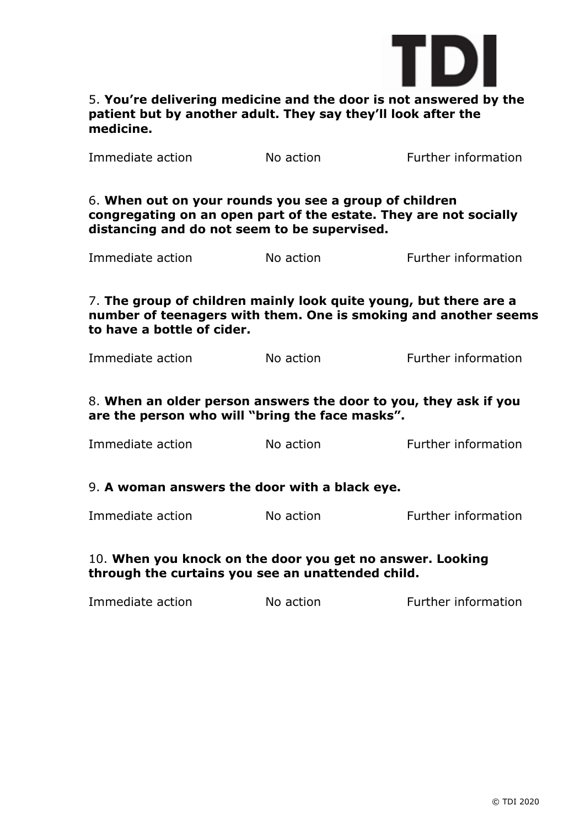

# 5. **You're delivering medicine and the door is not answered by the patient but by another adult. They say they'll look after the medicine.**

| Immediate action                                                                                                                                                   | No action and the state of the state of the state of the state of the state of the state of the state of the state of the state of the state of the state of the state of the state of the state of the state of the state of | Further information                                               |  |  |
|--------------------------------------------------------------------------------------------------------------------------------------------------------------------|-------------------------------------------------------------------------------------------------------------------------------------------------------------------------------------------------------------------------------|-------------------------------------------------------------------|--|--|
| 6. When out on your rounds you see a group of children<br>distancing and do not seem to be supervised.                                                             |                                                                                                                                                                                                                               | congregating on an open part of the estate. They are not socially |  |  |
| Immediate action                                                                                                                                                   | No action                                                                                                                                                                                                                     | <b>Further information</b>                                        |  |  |
| 7. The group of children mainly look quite young, but there are a<br>number of teenagers with them. One is smoking and another seems<br>to have a bottle of cider. |                                                                                                                                                                                                                               |                                                                   |  |  |
| Immediate action                                                                                                                                                   | No action                                                                                                                                                                                                                     | Further information                                               |  |  |
| 8. When an older person answers the door to you, they ask if you<br>are the person who will "bring the face masks".                                                |                                                                                                                                                                                                                               |                                                                   |  |  |
| Immediate action                                                                                                                                                   | No action                                                                                                                                                                                                                     | Further information                                               |  |  |
| 9. A woman answers the door with a black eye.                                                                                                                      |                                                                                                                                                                                                                               |                                                                   |  |  |
| Immediate action                                                                                                                                                   | No action                                                                                                                                                                                                                     | Further information                                               |  |  |
| 10. When you knock on the door you get no answer. Looking<br>through the curtains you see an unattended child.                                                     |                                                                                                                                                                                                                               |                                                                   |  |  |
| Immediate action                                                                                                                                                   | No action                                                                                                                                                                                                                     | Further information                                               |  |  |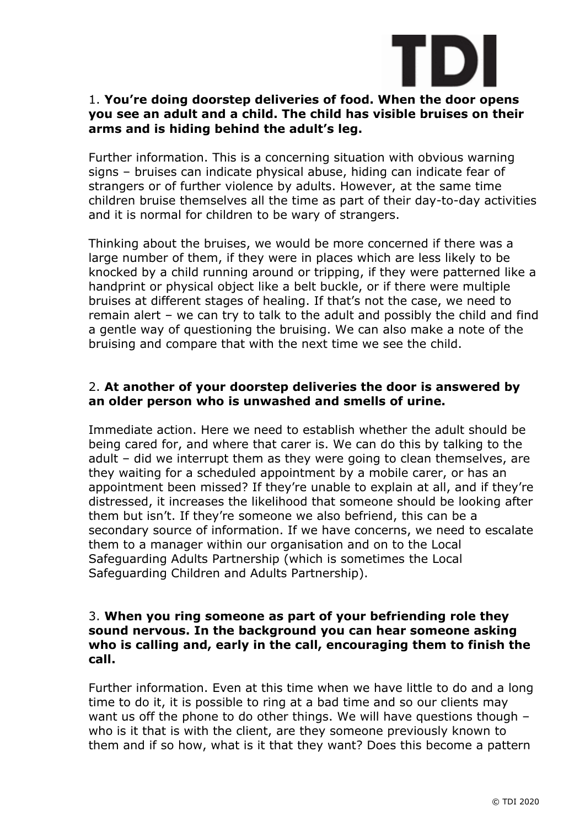

# 1. **You're doing doorstep deliveries of food. When the door opens you see an adult and a child. The child has visible bruises on their arms and is hiding behind the adult's leg.**

Further information. This is a concerning situation with obvious warning signs – bruises can indicate physical abuse, hiding can indicate fear of strangers or of further violence by adults. However, at the same time children bruise themselves all the time as part of their day-to-day activities and it is normal for children to be wary of strangers.

Thinking about the bruises, we would be more concerned if there was a large number of them, if they were in places which are less likely to be knocked by a child running around or tripping, if they were patterned like a handprint or physical object like a belt buckle, or if there were multiple bruises at different stages of healing. If that's not the case, we need to remain alert – we can try to talk to the adult and possibly the child and find a gentle way of questioning the bruising. We can also make a note of the bruising and compare that with the next time we see the child.

# 2. **At another of your doorstep deliveries the door is answered by an older person who is unwashed and smells of urine.**

Immediate action. Here we need to establish whether the adult should be being cared for, and where that carer is. We can do this by talking to the adult – did we interrupt them as they were going to clean themselves, are they waiting for a scheduled appointment by a mobile carer, or has an appointment been missed? If they're unable to explain at all, and if they're distressed, it increases the likelihood that someone should be looking after them but isn't. If they're someone we also befriend, this can be a secondary source of information. If we have concerns, we need to escalate them to a manager within our organisation and on to the Local Safeguarding Adults Partnership (which is sometimes the Local Safeguarding Children and Adults Partnership).

#### 3. **When you ring someone as part of your befriending role they sound nervous. In the background you can hear someone asking who is calling and, early in the call, encouraging them to finish the call.**

Further information. Even at this time when we have little to do and a long time to do it, it is possible to ring at a bad time and so our clients may want us off the phone to do other things. We will have questions though – who is it that is with the client, are they someone previously known to them and if so how, what is it that they want? Does this become a pattern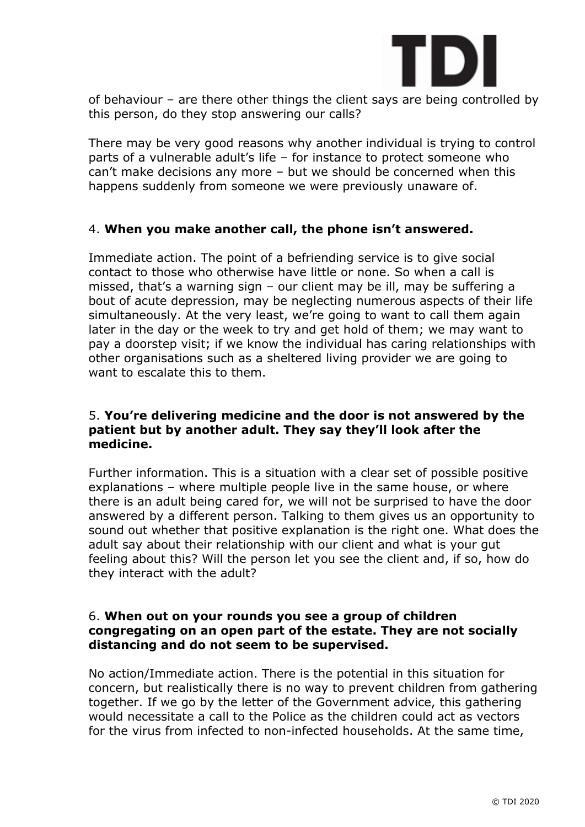

of behaviour – are there other things the client says are being controlled by this person, do they stop answering our calls?

There may be very good reasons why another individual is trying to control parts of a vulnerable adult's life – for instance to protect someone who can't make decisions any more – but we should be concerned when this happens suddenly from someone we were previously unaware of.

# 4. **When you make another call, the phone isn't answered.**

Immediate action. The point of a befriending service is to give social contact to those who otherwise have little or none. So when a call is missed, that's a warning sign – our client may be ill, may be suffering a bout of acute depression, may be neglecting numerous aspects of their life simultaneously. At the very least, we're going to want to call them again later in the day or the week to try and get hold of them; we may want to pay a doorstep visit; if we know the individual has caring relationships with other organisations such as a sheltered living provider we are going to want to escalate this to them.

# 5. **You're delivering medicine and the door is not answered by the patient but by another adult. They say they'll look after the medicine.**

Further information. This is a situation with a clear set of possible positive explanations – where multiple people live in the same house, or where there is an adult being cared for, we will not be surprised to have the door answered by a different person. Talking to them gives us an opportunity to sound out whether that positive explanation is the right one. What does the adult say about their relationship with our client and what is your gut feeling about this? Will the person let you see the client and, if so, how do they interact with the adult?

#### 6. **When out on your rounds you see a group of children congregating on an open part of the estate. They are not socially distancing and do not seem to be supervised.**

No action/Immediate action. There is the potential in this situation for concern, but realistically there is no way to prevent children from gathering together. If we go by the letter of the Government advice, this gathering would necessitate a call to the Police as the children could act as vectors for the virus from infected to non-infected households. At the same time,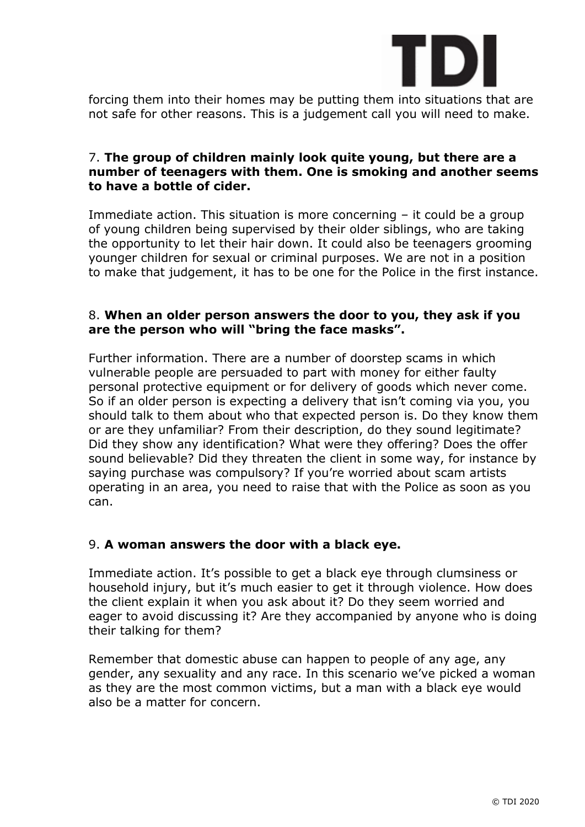

forcing them into their homes may be putting them into situations that are not safe for other reasons. This is a judgement call you will need to make.

#### 7. **The group of children mainly look quite young, but there are a number of teenagers with them. One is smoking and another seems to have a bottle of cider.**

Immediate action. This situation is more concerning – it could be a group of young children being supervised by their older siblings, who are taking the opportunity to let their hair down. It could also be teenagers grooming younger children for sexual or criminal purposes. We are not in a position to make that judgement, it has to be one for the Police in the first instance.

#### 8. **When an older person answers the door to you, they ask if you are the person who will "bring the face masks".**

Further information. There are a number of doorstep scams in which vulnerable people are persuaded to part with money for either faulty personal protective equipment or for delivery of goods which never come. So if an older person is expecting a delivery that isn't coming via you, you should talk to them about who that expected person is. Do they know them or are they unfamiliar? From their description, do they sound legitimate? Did they show any identification? What were they offering? Does the offer sound believable? Did they threaten the client in some way, for instance by saying purchase was compulsory? If you're worried about scam artists operating in an area, you need to raise that with the Police as soon as you can.

# 9. **A woman answers the door with a black eye.**

Immediate action. It's possible to get a black eye through clumsiness or household injury, but it's much easier to get it through violence. How does the client explain it when you ask about it? Do they seem worried and eager to avoid discussing it? Are they accompanied by anyone who is doing their talking for them?

Remember that domestic abuse can happen to people of any age, any gender, any sexuality and any race. In this scenario we've picked a woman as they are the most common victims, but a man with a black eye would also be a matter for concern.